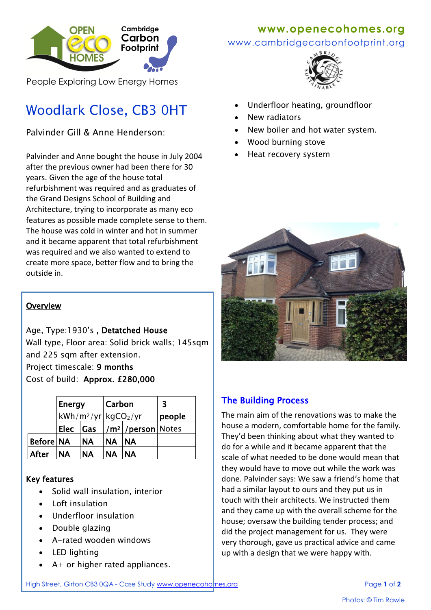

People Exploring Low Energy Homes

# Woodlark Close, CB3 0HT

Palvinder Gill & Anne Henderson:

Palvinder and Anne bought the house in July 2004 after the previous owner had been there for 30 years. Given the age of the house total refurbishment was required and as graduates of the Grand Designs School of Building and Architecture, trying to incorporate as many eco features as possible made complete sense to them. The house was cold in winter and hot in summer and it became apparent that total refurbishment was required and we also wanted to extend to create more space, better flow and to bring the outside in.

#### **Overview**

Age, Type:1930's , Detatched House Wall type, Floor area: Solid brick walls; 145sqm and 225 sqm after extension. Project timescale: 9 months

Cost of build: Approx. £280,000

|             | Energy                             |           | Carbon    |                                       | 3      |
|-------------|------------------------------------|-----------|-----------|---------------------------------------|--------|
|             | $kWh/m^2/yr$ kgCO <sub>2</sub> /yr |           |           |                                       | people |
|             | Elec                               | Gas       |           | / <b>m<sup>2</sup> /person</b>  Notes |        |
| Before   NA |                                    | <b>NA</b> | <b>NA</b> | <b>NA</b>                             |        |
| After       | <b>NA</b>                          | <b>NA</b> | <b>NA</b> | <b>NA</b>                             |        |

#### Key features

- Solid wall insulation, interior
- Loft insulation
- Underfloor insulation
- Double glazing
- A-rated wooden windows
- LED lighting
- $A+$  or higher rated appliances.

## **www.openecohomes.org**

www.cambridgecarbonfootprint.org



- Underfloor heating, groundfloor
- New radiators
- New boiler and hot water system.
- Wood burning stove
- Heat recovery system



## The Building Process

The main aim of the renovations was to make the house a modern, comfortable home for the family. They'd been thinking about what they wanted to do for a while and it became apparent that the scale of what needed to be done would mean that they would have to move out while the work was done. Palvinder says: We saw a friend's home that had a similar layout to ours and they put us in touch with their architects. We instructed them and they came up with the overall scheme for the house; oversaw the building tender process; and did the project management for us. They were very thorough, gave us practical advice and came up with a design that we were happy with.